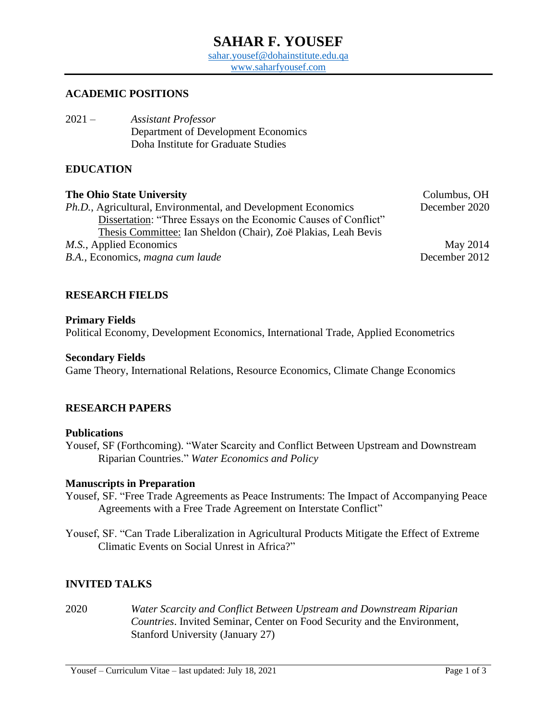# **SAHAR F. YOUSEF**

[sahar.yousef@dohainstitute.edu.qa](mailto:sahar.yousef@dohainstitute.edu.qa)

[www.saharfyousef.com](http://www.saharfyousef.com/)

#### **ACADEMIC POSITIONS**

2021 – *Assistant Professor* Department of Development Economics Doha Institute for Graduate Studies

#### **EDUCATION**

| <b>The Ohio State University</b>                                      | Columbus, OH  |
|-----------------------------------------------------------------------|---------------|
| <i>Ph.D.</i> , Agricultural, Environmental, and Development Economics | December 2020 |
| Dissertation: "Three Essays on the Economic Causes of Conflict"       |               |
| Thesis Committee: Ian Sheldon (Chair), Zoë Plakias, Leah Bevis        |               |
| <i>M.S.</i> , Applied Economics                                       | May 2014      |
| B.A., Economics, magna cum laude                                      | December 2012 |

#### **RESEARCH FIELDS**

**Primary Fields**

Political Economy, Development Economics, International Trade, Applied Econometrics

#### **Secondary Fields**

Game Theory, International Relations, Resource Economics, Climate Change Economics

# **RESEARCH PAPERS**

#### **Publications**

Yousef, SF (Forthcoming). "Water Scarcity and Conflict Between Upstream and Downstream Riparian Countries." *Water Economics and Policy*

#### **Manuscripts in Preparation**

- Yousef, SF. "Free Trade Agreements as Peace Instruments: The Impact of Accompanying Peace Agreements with a Free Trade Agreement on Interstate Conflict"
- Yousef, SF. "Can Trade Liberalization in Agricultural Products Mitigate the Effect of Extreme Climatic Events on Social Unrest in Africa?"

#### **INVITED TALKS**

2020 *Water Scarcity and Conflict Between Upstream and Downstream Riparian Countries*. Invited Seminar, Center on Food Security and the Environment, Stanford University (January 27)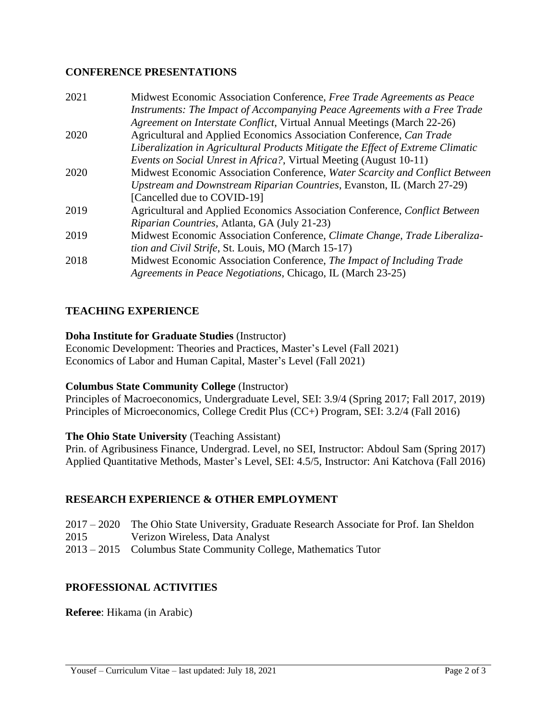# **CONFERENCE PRESENTATIONS**

| 2021 | Midwest Economic Association Conference, Free Trade Agreements as Peace         |
|------|---------------------------------------------------------------------------------|
|      | Instruments: The Impact of Accompanying Peace Agreements with a Free Trade      |
|      | Agreement on Interstate Conflict, Virtual Annual Meetings (March 22-26)         |
| 2020 | Agricultural and Applied Economics Association Conference, Can Trade            |
|      | Liberalization in Agricultural Products Mitigate the Effect of Extreme Climatic |
|      | <i>Events on Social Unrest in Africa?</i> , Virtual Meeting (August 10-11)      |
| 2020 | Midwest Economic Association Conference, Water Scarcity and Conflict Between    |
|      | Upstream and Downstream Riparian Countries, Evanston, IL (March 27-29)          |
|      | [Cancelled due to COVID-19]                                                     |
| 2019 | Agricultural and Applied Economics Association Conference, Conflict Between     |
|      | Riparian Countries, Atlanta, GA (July 21-23)                                    |
| 2019 | Midwest Economic Association Conference, Climate Change, Trade Liberaliza-      |
|      | tion and Civil Strife, St. Louis, MO (March 15-17)                              |
| 2018 | Midwest Economic Association Conference, The Impact of Including Trade          |
|      | Agreements in Peace Negotiations, Chicago, IL (March 23-25)                     |

# **TEACHING EXPERIENCE**

# **Doha Institute for Graduate Studies** (Instructor)

Economic Development: Theories and Practices, Master's Level (Fall 2021) Economics of Labor and Human Capital, Master's Level (Fall 2021)

# **Columbus State Community College** (Instructor)

Principles of Macroeconomics, Undergraduate Level, SEI: 3.9/4 (Spring 2017; Fall 2017, 2019) Principles of Microeconomics, College Credit Plus (CC+) Program, SEI: 3.2/4 (Fall 2016)

#### **The Ohio State University** (Teaching Assistant)

Prin. of Agribusiness Finance, Undergrad. Level, no SEI, Instructor: Abdoul Sam (Spring 2017) Applied Quantitative Methods, Master's Level, SEI: 4.5/5, Instructor: Ani Katchova (Fall 2016)

# **RESEARCH EXPERIENCE & OTHER EMPLOYMENT**

- 2017 2020 The Ohio State University, Graduate Research Associate for Prof. Ian Sheldon
- 2015 Verizon Wireless, Data Analyst
- 2013 2015 Columbus State Community College, Mathematics Tutor

# **PROFESSIONAL ACTIVITIES**

**Referee**: Hikama (in Arabic)